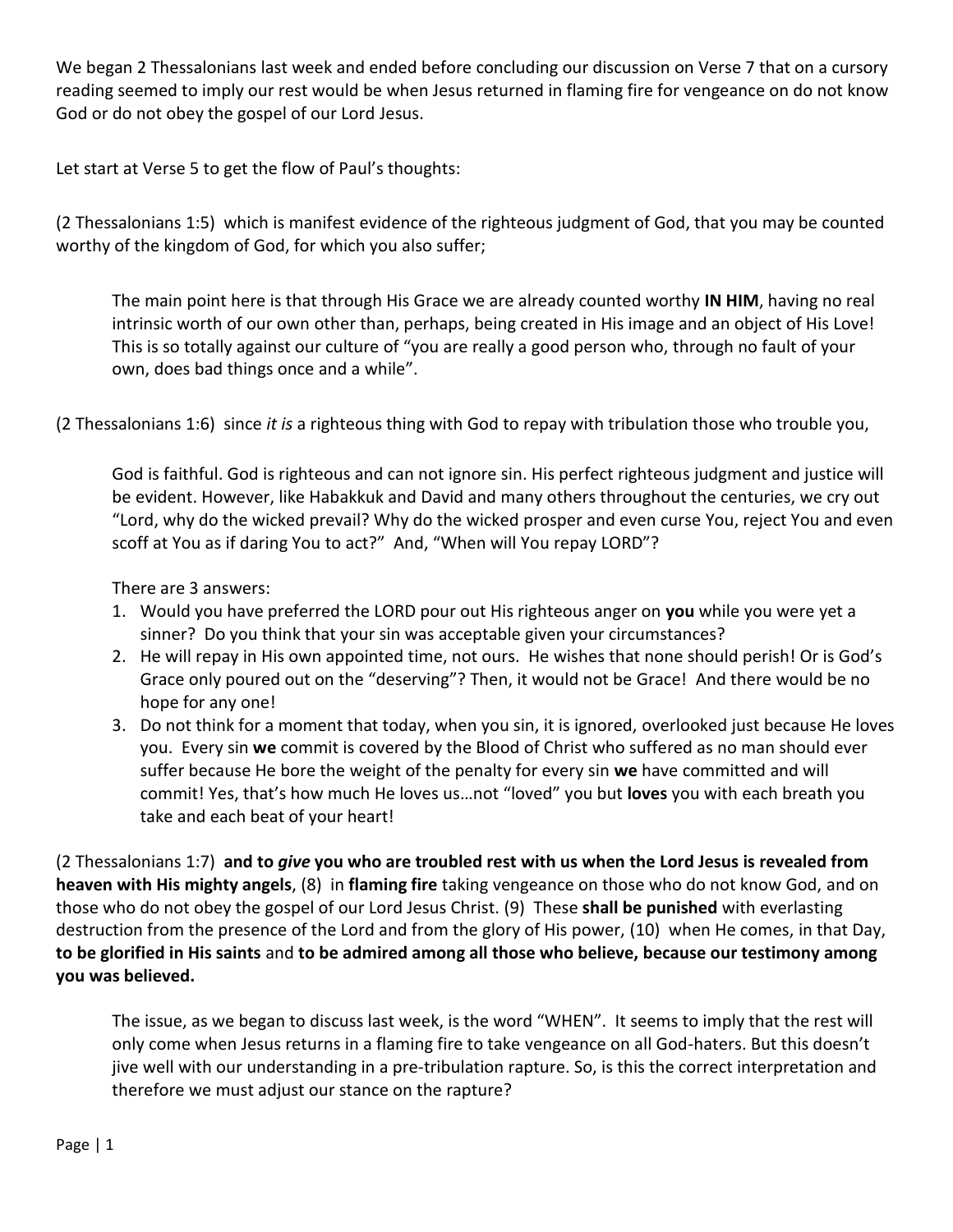We began 2 Thessalonians last week and ended before concluding our discussion on Verse 7 that on a cursory reading seemed to imply our rest would be when Jesus returned in flaming fire for vengeance on do not know God or do not obey the gospel of our Lord Jesus.

Let start at Verse 5 to get the flow of Paul's thoughts:

(2 Thessalonians 1:5) which is manifest evidence of the righteous judgment of God, that you may be counted worthy of the kingdom of God, for which you also suffer;

The main point here is that through His Grace we are already counted worthy **IN HIM**, having no real intrinsic worth of our own other than, perhaps, being created in His image and an object of His Love! This is so totally against our culture of "you are really a good person who, through no fault of your own, does bad things once and a while".

(2 Thessalonians 1:6) since *it is* a righteous thing with God to repay with tribulation those who trouble you,

God is faithful. God is righteous and can not ignore sin. His perfect righteous judgment and justice will be evident. However, like Habakkuk and David and many others throughout the centuries, we cry out "Lord, why do the wicked prevail? Why do the wicked prosper and even curse You, reject You and even scoff at You as if daring You to act?" And, "When will You repay LORD"?

There are 3 answers:

- 1. Would you have preferred the LORD pour out His righteous anger on **you** while you were yet a sinner? Do you think that your sin was acceptable given your circumstances?
- 2. He will repay in His own appointed time, not ours. He wishes that none should perish! Or is God's Grace only poured out on the "deserving"? Then, it would not be Grace! And there would be no hope for any one!
- 3. Do not think for a moment that today, when you sin, it is ignored, overlooked just because He loves you. Every sin **we** commit is covered by the Blood of Christ who suffered as no man should ever suffer because He bore the weight of the penalty for every sin **we** have committed and will commit! Yes, that's how much He loves us…not "loved" you but **loves** you with each breath you take and each beat of your heart!

(2 Thessalonians 1:7) **and to** *give* **you who are troubled rest with us when the Lord Jesus is revealed from heaven with His mighty angels**, (8) in **flaming fire** taking vengeance on those who do not know God, and on those who do not obey the gospel of our Lord Jesus Christ. (9) These **shall be punished** with everlasting destruction from the presence of the Lord and from the glory of His power, (10) when He comes, in that Day, **to be glorified in His saints** and **to be admired among all those who believe, because our testimony among you was believed.**

The issue, as we began to discuss last week, is the word "WHEN". It seems to imply that the rest will only come when Jesus returns in a flaming fire to take vengeance on all God-haters. But this doesn't jive well with our understanding in a pre-tribulation rapture. So, is this the correct interpretation and therefore we must adjust our stance on the rapture?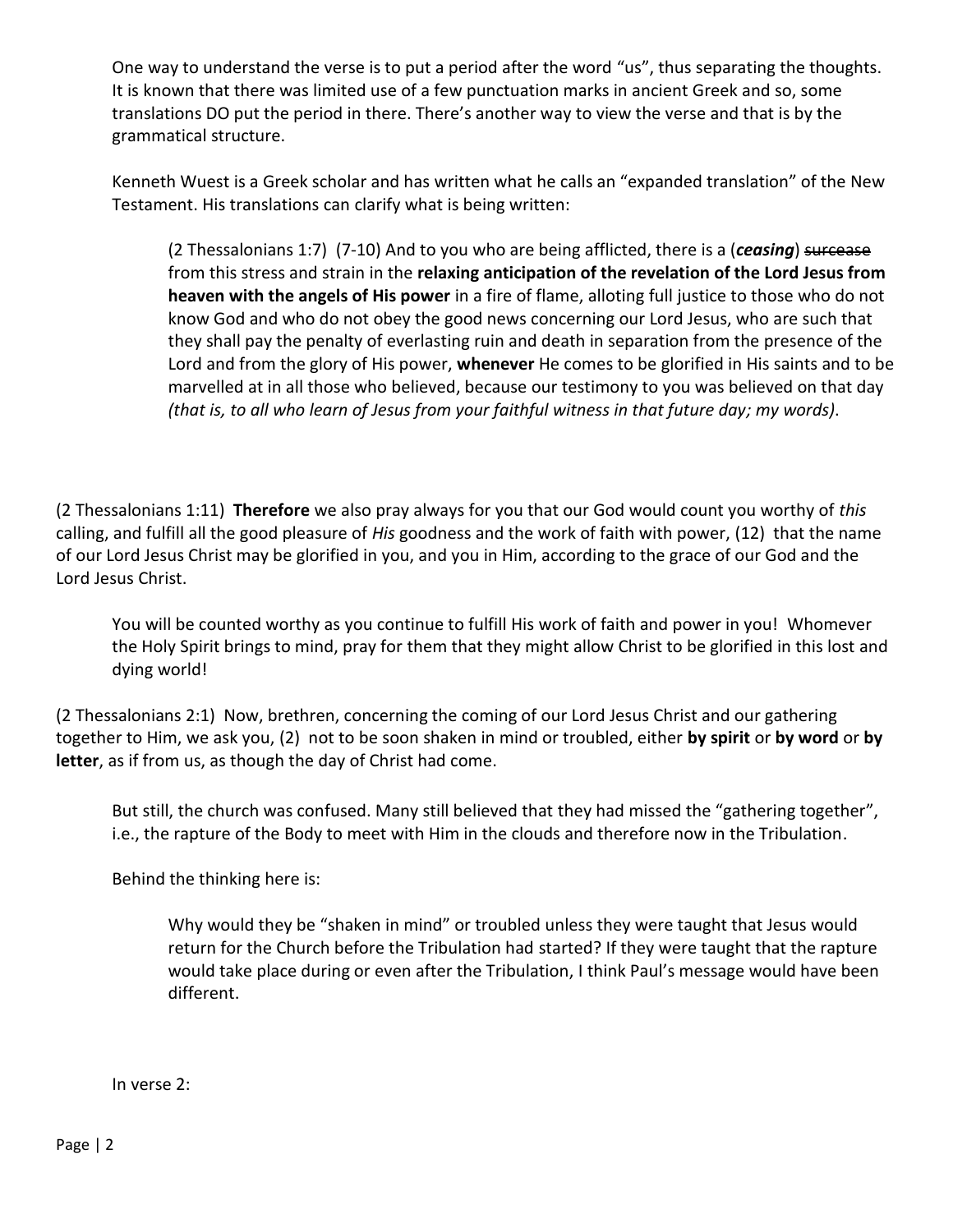One way to understand the verse is to put a period after the word "us", thus separating the thoughts. It is known that there was limited use of a few punctuation marks in ancient Greek and so, some translations DO put the period in there. There's another way to view the verse and that is by the grammatical structure.

Kenneth Wuest is a Greek scholar and has written what he calls an "expanded translation" of the New Testament. His translations can clarify what is being written:

(2 Thessalonians 1:7) (7-10) And to you who are being afflicted, there is a (*ceasing*) surcease from this stress and strain in the **relaxing anticipation of the revelation of the Lord Jesus from heaven with the angels of His power** in a fire of flame, alloting full justice to those who do not know God and who do not obey the good news concerning our Lord Jesus, who are such that they shall pay the penalty of everlasting ruin and death in separation from the presence of the Lord and from the glory of His power, **whenever** He comes to be glorified in His saints and to be marvelled at in all those who believed, because our testimony to you was believed on that day *(that is, to all who learn of Jesus from your faithful witness in that future day; my words)*.

(2 Thessalonians 1:11) **Therefore** we also pray always for you that our God would count you worthy of *this* calling, and fulfill all the good pleasure of *His* goodness and the work of faith with power, (12) that the name of our Lord Jesus Christ may be glorified in you, and you in Him, according to the grace of our God and the Lord Jesus Christ.

You will be counted worthy as you continue to fulfill His work of faith and power in you! Whomever the Holy Spirit brings to mind, pray for them that they might allow Christ to be glorified in this lost and dying world!

(2 Thessalonians 2:1) Now, brethren, concerning the coming of our Lord Jesus Christ and our gathering together to Him, we ask you, (2) not to be soon shaken in mind or troubled, either **by spirit** or **by word** or **by letter**, as if from us, as though the day of Christ had come.

But still, the church was confused. Many still believed that they had missed the "gathering together", i.e., the rapture of the Body to meet with Him in the clouds and therefore now in the Tribulation.

Behind the thinking here is:

Why would they be "shaken in mind" or troubled unless they were taught that Jesus would return for the Church before the Tribulation had started? If they were taught that the rapture would take place during or even after the Tribulation, I think Paul's message would have been different.

In verse 2: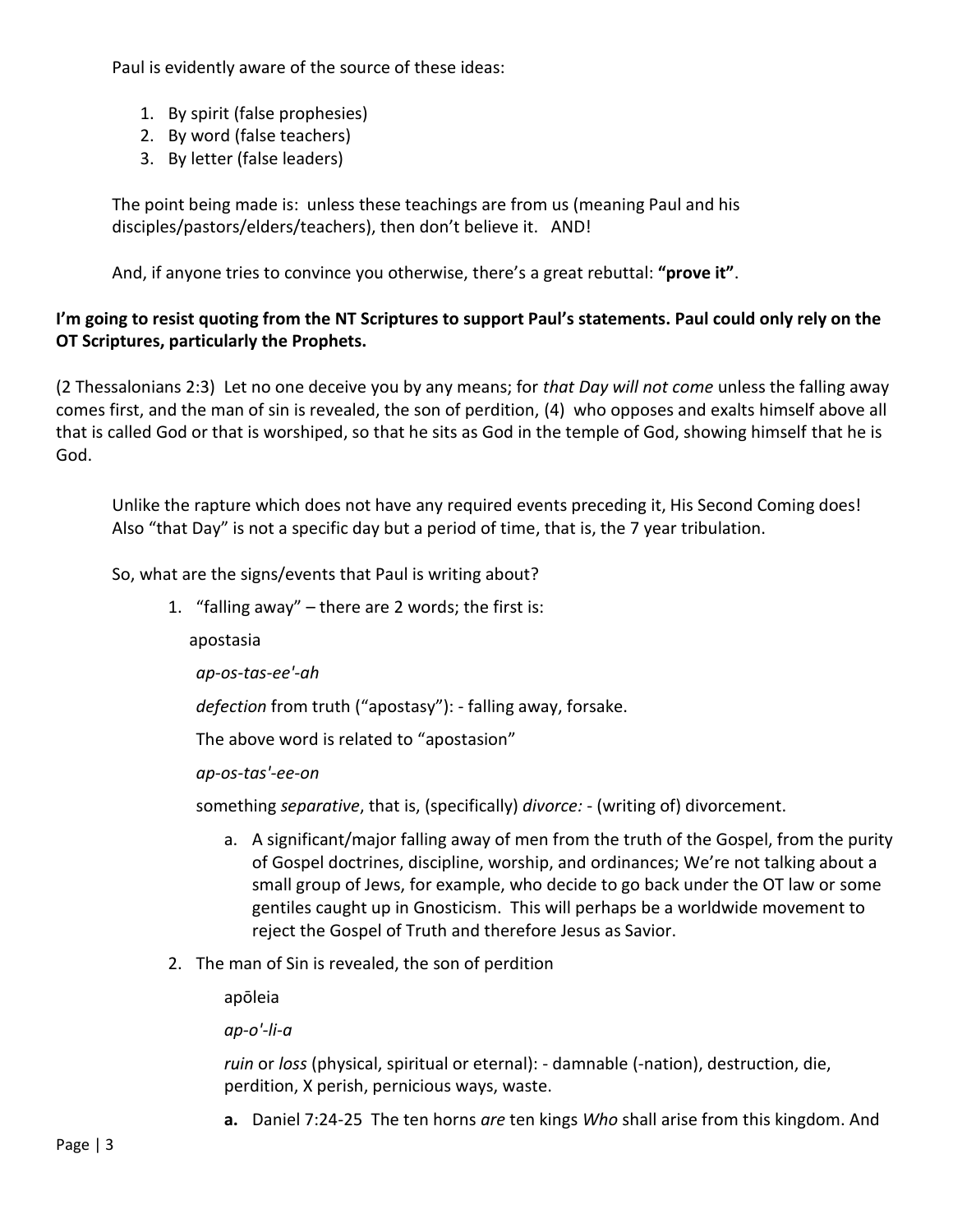Paul is evidently aware of the source of these ideas:

- 1. By spirit (false prophesies)
- 2. By word (false teachers)
- 3. By letter (false leaders)

The point being made is: unless these teachings are from us (meaning Paul and his disciples/pastors/elders/teachers), then don't believe it. AND!

And, if anyone tries to convince you otherwise, there's a great rebuttal: **"prove it"**.

## **I'm going to resist quoting from the NT Scriptures to support Paul's statements. Paul could only rely on the OT Scriptures, particularly the Prophets.**

(2 Thessalonians 2:3) Let no one deceive you by any means; for *that Day will not come* unless the falling away comes first, and the man of sin is revealed, the son of perdition, (4) who opposes and exalts himself above all that is called God or that is worshiped, so that he sits as God in the temple of God, showing himself that he is God.

Unlike the rapture which does not have any required events preceding it, His Second Coming does! Also "that Day" is not a specific day but a period of time, that is, the 7 year tribulation.

So, what are the signs/events that Paul is writing about?

1. "falling away" – there are 2 words; the first is:

apostasia

*ap-os-tas-ee'-ah*

*defection* from truth ("apostasy"): - falling away, forsake.

The above word is related to "apostasion"

*ap-os-tas'-ee-on*

something *separative*, that is, (specifically) *divorce:* - (writing of) divorcement.

- a. A significant/major falling away of men from the truth of the Gospel, from the purity of Gospel doctrines, discipline, worship, and ordinances; We're not talking about a small group of Jews, for example, who decide to go back under the OT law or some gentiles caught up in Gnosticism. This will perhaps be a worldwide movement to reject the Gospel of Truth and therefore Jesus as Savior.
- 2. The man of Sin is revealed, the son of perdition

apōleia

*ap-o'-li-a*

*ruin* or *loss* (physical, spiritual or eternal): - damnable (-nation), destruction, die, perdition, X perish, pernicious ways, waste.

**a.** Daniel 7:24-25 The ten horns *are* ten kings *Who* shall arise from this kingdom. And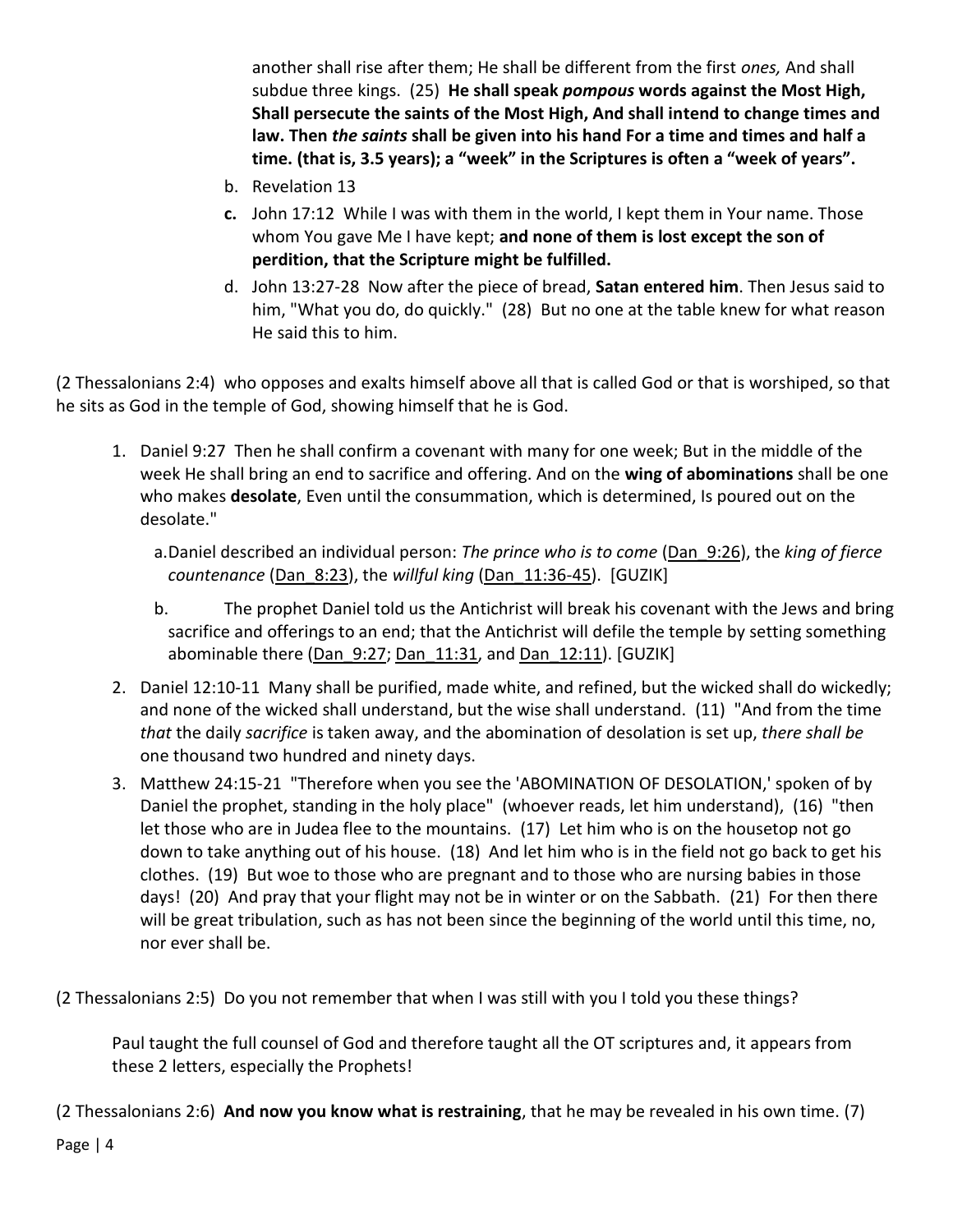another shall rise after them; He shall be different from the first *ones,* And shall subdue three kings. (25) **He shall speak** *pompous* **words against the Most High, Shall persecute the saints of the Most High, And shall intend to change times and law. Then** *the saints* **shall be given into his hand For a time and times and half a time. (that is, 3.5 years); a "week" in the Scriptures is often a "week of years".**

- b. Revelation 13
- **c.** John 17:12 While I was with them in the world, I kept them in Your name. Those whom You gave Me I have kept; **and none of them is lost except the son of perdition, that the Scripture might be fulfilled.**
- d. John 13:27-28 Now after the piece of bread, **Satan entered him**. Then Jesus said to him, "What you do, do quickly." (28) But no one at the table knew for what reason He said this to him.

(2 Thessalonians 2:4) who opposes and exalts himself above all that is called God or that is worshiped, so that he sits as God in the temple of God, showing himself that he is God.

1. Daniel 9:27 Then he shall confirm a covenant with many for one week; But in the middle of the week He shall bring an end to sacrifice and offering. And on the **wing of abominations** shall be one who makes **desolate**, Even until the consummation, which is determined, Is poured out on the desolate."

a.Daniel described an individual person: *The prince who is to come* (Dan\_9:26), the *king of fierce countenance* (Dan\_8:23), the *willful king* (Dan\_11:36-45). [GUZIK]

- b. The prophet Daniel told us the Antichrist will break his covenant with the Jews and bring sacrifice and offerings to an end; that the Antichrist will defile the temple by setting something abominable there (Dan  $9:27$ ; Dan  $11:31$ , and Dan  $12:11$ ). [GUZIK]
- 2. Daniel 12:10-11 Many shall be purified, made white, and refined, but the wicked shall do wickedly; and none of the wicked shall understand, but the wise shall understand. (11) "And from the time *that* the daily *sacrifice* is taken away, and the abomination of desolation is set up, *there shall be* one thousand two hundred and ninety days.
- 3. Matthew 24:15-21 "Therefore when you see the 'ABOMINATION OF DESOLATION,' spoken of by Daniel the prophet, standing in the holy place" (whoever reads, let him understand), (16) "then let those who are in Judea flee to the mountains. (17) Let him who is on the housetop not go down to take anything out of his house. (18) And let him who is in the field not go back to get his clothes. (19) But woe to those who are pregnant and to those who are nursing babies in those days! (20) And pray that your flight may not be in winter or on the Sabbath. (21) For then there will be great tribulation, such as has not been since the beginning of the world until this time, no, nor ever shall be.

(2 Thessalonians 2:5) Do you not remember that when I was still with you I told you these things?

Paul taught the full counsel of God and therefore taught all the OT scriptures and, it appears from these 2 letters, especially the Prophets!

(2 Thessalonians 2:6) **And now you know what is restraining**, that he may be revealed in his own time. (7)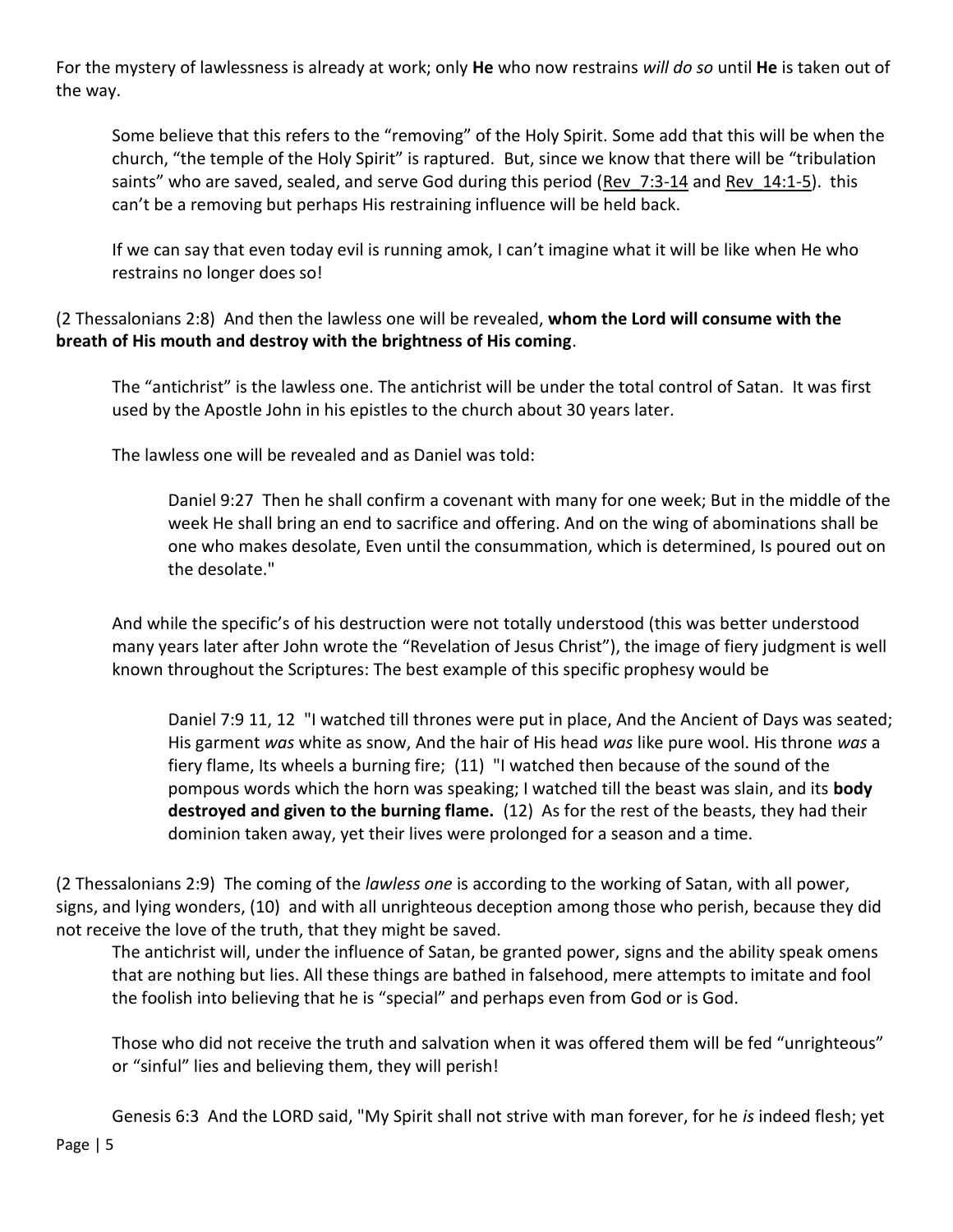For the mystery of lawlessness is already at work; only **He** who now restrains *will do so* until **He** is taken out of the way.

Some believe that this refers to the "removing" of the Holy Spirit. Some add that this will be when the church, "the temple of the Holy Spirit" is raptured. But, since we know that there will be "tribulation saints" who are saved, sealed, and serve God during this period (Rev 7:3-14 and Rev 14:1-5). this can't be a removing but perhaps His restraining influence will be held back.

If we can say that even today evil is running amok, I can't imagine what it will be like when He who restrains no longer does so!

(2 Thessalonians 2:8) And then the lawless one will be revealed, **whom the Lord will consume with the breath of His mouth and destroy with the brightness of His coming**.

The "antichrist" is the lawless one. The antichrist will be under the total control of Satan. It was first used by the Apostle John in his epistles to the church about 30 years later.

The lawless one will be revealed and as Daniel was told:

Daniel 9:27 Then he shall confirm a covenant with many for one week; But in the middle of the week He shall bring an end to sacrifice and offering. And on the wing of abominations shall be one who makes desolate, Even until the consummation, which is determined, Is poured out on the desolate."

And while the specific's of his destruction were not totally understood (this was better understood many years later after John wrote the "Revelation of Jesus Christ"), the image of fiery judgment is well known throughout the Scriptures: The best example of this specific prophesy would be

Daniel 7:9 11, 12 "I watched till thrones were put in place, And the Ancient of Days was seated; His garment *was* white as snow, And the hair of His head *was* like pure wool. His throne *was* a fiery flame, Its wheels a burning fire; (11) "I watched then because of the sound of the pompous words which the horn was speaking; I watched till the beast was slain, and its **body destroyed and given to the burning flame.** (12) As for the rest of the beasts, they had their dominion taken away, yet their lives were prolonged for a season and a time.

(2 Thessalonians 2:9) The coming of the *lawless one* is according to the working of Satan, with all power, signs, and lying wonders, (10) and with all unrighteous deception among those who perish, because they did not receive the love of the truth, that they might be saved.

The antichrist will, under the influence of Satan, be granted power, signs and the ability speak omens that are nothing but lies. All these things are bathed in falsehood, mere attempts to imitate and fool the foolish into believing that he is "special" and perhaps even from God or is God.

Those who did not receive the truth and salvation when it was offered them will be fed "unrighteous" or "sinful" lies and believing them, they will perish!

Genesis 6:3 And the LORD said, "My Spirit shall not strive with man forever, for he *is* indeed flesh; yet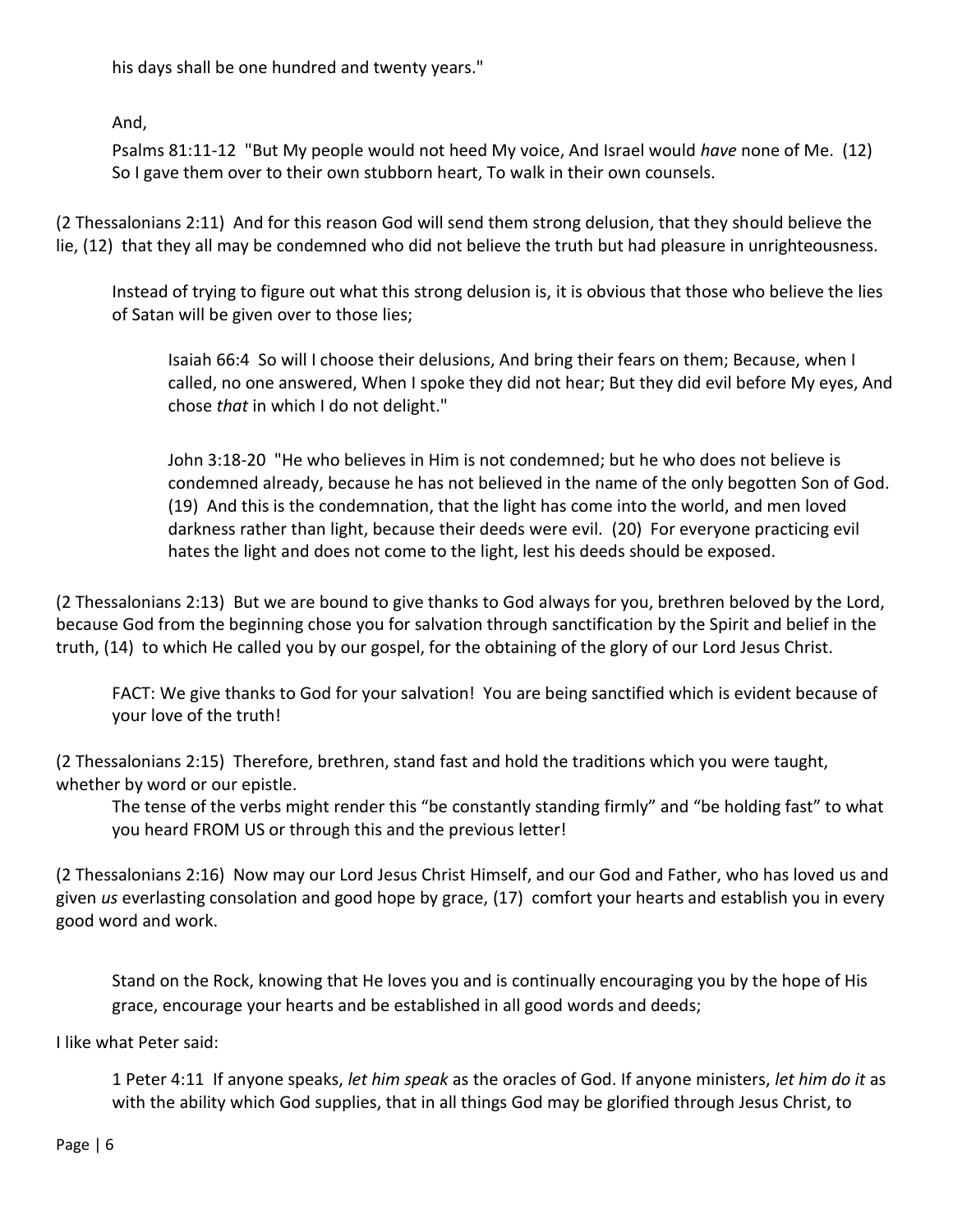his days shall be one hundred and twenty years."

And,

Psalms 81:11-12 "But My people would not heed My voice, And Israel would *have* none of Me. (12) So I gave them over to their own stubborn heart, To walk in their own counsels.

(2 Thessalonians 2:11) And for this reason God will send them strong delusion, that they should believe the lie, (12) that they all may be condemned who did not believe the truth but had pleasure in unrighteousness.

Instead of trying to figure out what this strong delusion is, it is obvious that those who believe the lies of Satan will be given over to those lies;

Isaiah 66:4 So will I choose their delusions, And bring their fears on them; Because, when I called, no one answered, When I spoke they did not hear; But they did evil before My eyes, And chose *that* in which I do not delight."

John 3:18-20 "He who believes in Him is not condemned; but he who does not believe is condemned already, because he has not believed in the name of the only begotten Son of God. (19) And this is the condemnation, that the light has come into the world, and men loved darkness rather than light, because their deeds were evil. (20) For everyone practicing evil hates the light and does not come to the light, lest his deeds should be exposed.

(2 Thessalonians 2:13) But we are bound to give thanks to God always for you, brethren beloved by the Lord, because God from the beginning chose you for salvation through sanctification by the Spirit and belief in the truth, (14) to which He called you by our gospel, for the obtaining of the glory of our Lord Jesus Christ.

FACT: We give thanks to God for your salvation! You are being sanctified which is evident because of your love of the truth!

(2 Thessalonians 2:15) Therefore, brethren, stand fast and hold the traditions which you were taught, whether by word or our epistle.

The tense of the verbs might render this "be constantly standing firmly" and "be holding fast" to what you heard FROM US or through this and the previous letter!

(2 Thessalonians 2:16) Now may our Lord Jesus Christ Himself, and our God and Father, who has loved us and given *us* everlasting consolation and good hope by grace, (17) comfort your hearts and establish you in every good word and work.

Stand on the Rock, knowing that He loves you and is continually encouraging you by the hope of His grace, encourage your hearts and be established in all good words and deeds;

I like what Peter said:

1 Peter 4:11 If anyone speaks, *let him speak* as the oracles of God. If anyone ministers, *let him do it* as with the ability which God supplies, that in all things God may be glorified through Jesus Christ, to